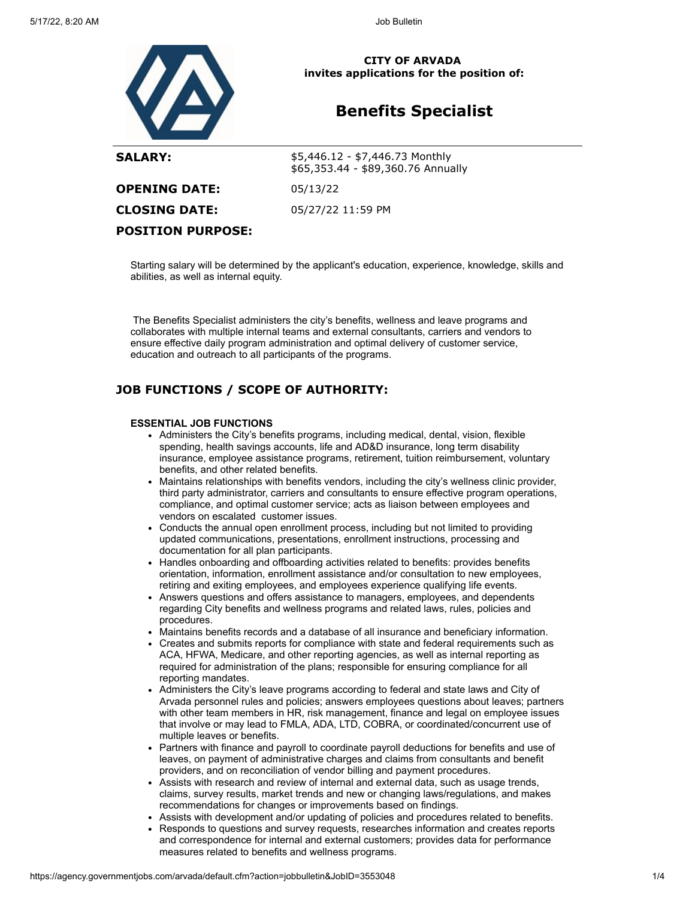

**CITY OF ARVADA invites applications for the position of:**

# **Benefits Specialist**

| <b>SALARY:</b>           | $$5,446.12 - $7,446.73$ Monthly<br>\$65,353.44 - \$89,360.76 Annually |
|--------------------------|-----------------------------------------------------------------------|
| <b>OPENING DATE:</b>     | 05/13/22                                                              |
| <b>CLOSING DATE:</b>     | 05/27/22 11:59 PM                                                     |
| <b>POSITION PURPOSE:</b> |                                                                       |

Starting salary will be determined by the applicant's education, experience, knowledge, skills and abilities, as well as internal equity.

The Benefits Specialist administers the city's benefits, wellness and leave programs and collaborates with multiple internal teams and external consultants, carriers and vendors to ensure effective daily program administration and optimal delivery of customer service, education and outreach to all participants of the programs.

## **JOB FUNCTIONS / SCOPE OF AUTHORITY:**

#### **ESSENTIAL JOB FUNCTIONS**

- Administers the City's benefits programs, including medical, dental, vision, flexible spending, health savings accounts, life and AD&D insurance, long term disability insurance, employee assistance programs, retirement, tuition reimbursement, voluntary benefits, and other related benefits.
- Maintains relationships with benefits vendors, including the city's wellness clinic provider, third party administrator, carriers and consultants to ensure effective program operations, compliance, and optimal customer service; acts as liaison between employees and vendors on escalated customer issues.
- Conducts the annual open enrollment process, including but not limited to providing updated communications, presentations, enrollment instructions, processing and documentation for all plan participants.
- Handles onboarding and offboarding activities related to benefits: provides benefits orientation, information, enrollment assistance and/or consultation to new employees, retiring and exiting employees, and employees experience qualifying life events.
- Answers questions and offers assistance to managers, employees, and dependents regarding City benefits and wellness programs and related laws, rules, policies and procedures.
- Maintains benefits records and a database of all insurance and beneficiary information.
- Creates and submits reports for compliance with state and federal requirements such as ACA, HFWA, Medicare, and other reporting agencies, as well as internal reporting as required for administration of the plans; responsible for ensuring compliance for all reporting mandates.
- Administers the City's leave programs according to federal and state laws and City of Arvada personnel rules and policies; answers employees questions about leaves; partners with other team members in HR, risk management, finance and legal on employee issues that involve or may lead to FMLA, ADA, LTD, COBRA, or coordinated/concurrent use of multiple leaves or benefits.
- Partners with finance and payroll to coordinate payroll deductions for benefits and use of leaves, on payment of administrative charges and claims from consultants and benefit providers, and on reconciliation of vendor billing and payment procedures.
- Assists with research and review of internal and external data, such as usage trends, claims, survey results, market trends and new or changing laws/regulations, and makes recommendations for changes or improvements based on findings.
- Assists with development and/or updating of policies and procedures related to benefits. Responds to questions and survey requests, researches information and creates reports
- and correspondence for internal and external customers; provides data for performance measures related to benefits and wellness programs.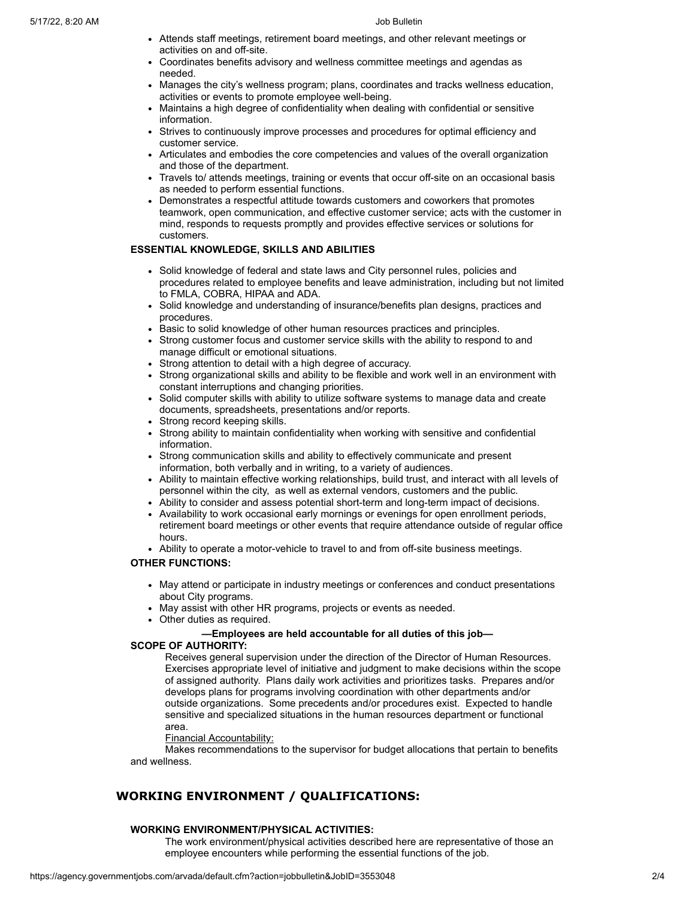- Attends staff meetings, retirement board meetings, and other relevant meetings or activities on and off-site.
- Coordinates benefits advisory and wellness committee meetings and agendas as needed.
- Manages the city's wellness program; plans, coordinates and tracks wellness education, activities or events to promote employee well-being.
- Maintains a high degree of confidentiality when dealing with confidential or sensitive information.
- Strives to continuously improve processes and procedures for optimal efficiency and customer service.
- Articulates and embodies the core competencies and values of the overall organization and those of the department.
- Travels to/ attends meetings, training or events that occur off-site on an occasional basis as needed to perform essential functions.
- Demonstrates a respectful attitude towards customers and coworkers that promotes teamwork, open communication, and effective customer service; acts with the customer in mind, responds to requests promptly and provides effective services or solutions for customers.

## **ESSENTIAL KNOWLEDGE, SKILLS AND ABILITIES**

- Solid knowledge of federal and state laws and City personnel rules, policies and procedures related to employee benefits and leave administration, including but not limited to FMLA, COBRA, HIPAA and ADA.
- Solid knowledge and understanding of insurance/benefits plan designs, practices and procedures.
- Basic to solid knowledge of other human resources practices and principles.
- Strong customer focus and customer service skills with the ability to respond to and manage difficult or emotional situations.
- Strong attention to detail with a high degree of accuracy.
- Strong organizational skills and ability to be flexible and work well in an environment with constant interruptions and changing priorities.
- Solid computer skills with ability to utilize software systems to manage data and create documents, spreadsheets, presentations and/or reports.
- Strong record keeping skills.
- Strong ability to maintain confidentiality when working with sensitive and confidential information.
- Strong communication skills and ability to effectively communicate and present information, both verbally and in writing, to a variety of audiences.
- Ability to maintain effective working relationships, build trust, and interact with all levels of personnel within the city, as well as external vendors, customers and the public.
- Ability to consider and assess potential short-term and long-term impact of decisions.
- Availability to work occasional early mornings or evenings for open enrollment periods, retirement board meetings or other events that require attendance outside of regular office hours.
- Ability to operate a motor-vehicle to travel to and from off-site business meetings.

## **OTHER FUNCTIONS:**

- May attend or participate in industry meetings or conferences and conduct presentations about City programs.
- May assist with other HR programs, projects or events as needed.
- Other duties as required.

# **—Employees are held accountable for all duties of this job—**

## **SCOPE OF AUTHORITY:**

Receives general supervision under the direction of the Director of Human Resources. Exercises appropriate level of initiative and judgment to make decisions within the scope of assigned authority. Plans daily work activities and prioritizes tasks. Prepares and/or develops plans for programs involving coordination with other departments and/or outside organizations. Some precedents and/or procedures exist. Expected to handle sensitive and specialized situations in the human resources department or functional area.

## Financial Accountability:

Makes recommendations to the supervisor for budget allocations that pertain to benefits and wellness.

# **WORKING ENVIRONMENT / QUALIFICATIONS:**

# **WORKING ENVIRONMENT/PHYSICAL ACTIVITIES:**

The work environment/physical activities described here are representative of those an employee encounters while performing the essential functions of the job.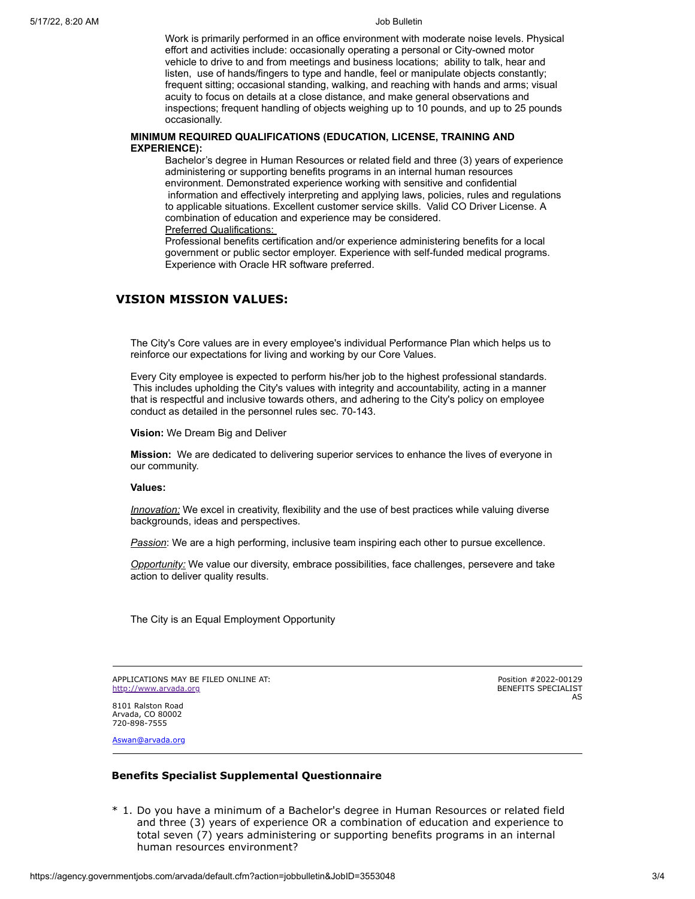Work is primarily performed in an office environment with moderate noise levels. Physical effort and activities include: occasionally operating a personal or City-owned motor vehicle to drive to and from meetings and business locations; ability to talk, hear and listen, use of hands/fingers to type and handle, feel or manipulate objects constantly; frequent sitting; occasional standing, walking, and reaching with hands and arms; visual acuity to focus on details at a close distance, and make general observations and inspections; frequent handling of objects weighing up to 10 pounds, and up to 25 pounds occasionally.

#### **MINIMUM REQUIRED QUALIFICATIONS (EDUCATION, LICENSE, TRAINING AND EXPERIENCE):**

Bachelor's degree in Human Resources or related field and three (3) years of experience administering or supporting benefits programs in an internal human resources environment. Demonstrated experience working with sensitive and confidential information and effectively interpreting and applying laws, policies, rules and regulations to applicable situations. Excellent customer service skills. Valid CO Driver License. A combination of education and experience may be considered. Preferred Qualifications:

Professional benefits certification and/or experience administering benefits for a local government or public sector employer. Experience with self-funded medical programs. Experience with Oracle HR software preferred.

### **VISION MISSION VALUES:**

The City's Core values are in every employee's individual Performance Plan which helps us to reinforce our expectations for living and working by our Core Values.

Every City employee is expected to perform his/her job to the highest professional standards. This includes upholding the City's values with integrity and accountability, acting in a manner that is respectful and inclusive towards others, and adhering to the City's policy on employee conduct as detailed in the personnel rules sec. 70-143.

**Vision:** We Dream Big and Deliver

**Mission:** We are dedicated to delivering superior services to enhance the lives of everyone in our community.

**Values:**

*Innovation:* We excel in creativity, flexibility and the use of best practices while valuing diverse backgrounds, ideas and perspectives.

*Passion*: We are a high performing, inclusive team inspiring each other to pursue excellence.

*Opportunity:* We value our diversity, embrace possibilities, face challenges, persevere and take action to deliver quality results.

The City is an Equal Employment Opportunity

APPLICATIONS MAY BE FILED ONLINE AT: [http://www.arvada.org](http://www.arvada.org/)

Position #2022-00129 BENEFITS SPECIALIST AS

8101 Ralston Road Arvada, CO 80002 720-898-7555

[Aswan@arvada.org](mailto:Aswan@arvada.org)

#### **Benefits Specialist Supplemental Questionnaire**

\* 1. Do you have a minimum of a Bachelor's degree in Human Resources or related field and three (3) years of experience OR a combination of education and experience to total seven (7) years administering or supporting benefits programs in an internal human resources environment?